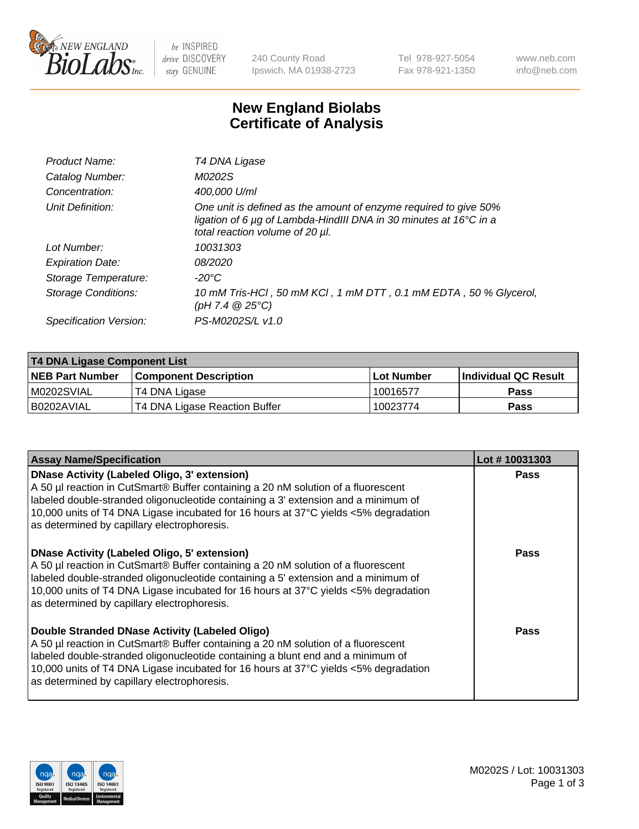

be INSPIRED drive DISCOVERY stay GENUINE

240 County Road Ipswich, MA 01938-2723 Tel 978-927-5054 Fax 978-921-1350 www.neb.com info@neb.com

## **New England Biolabs Certificate of Analysis**

| Product Name:           | T4 DNA Ligase                                                                                                                                                            |
|-------------------------|--------------------------------------------------------------------------------------------------------------------------------------------------------------------------|
| Catalog Number:         | M0202S                                                                                                                                                                   |
| Concentration:          | 400,000 U/ml                                                                                                                                                             |
| Unit Definition:        | One unit is defined as the amount of enzyme required to give 50%<br>ligation of 6 µg of Lambda-HindIII DNA in 30 minutes at 16°C in a<br>total reaction volume of 20 µl. |
| Lot Number:             | 10031303                                                                                                                                                                 |
| <b>Expiration Date:</b> | 08/2020                                                                                                                                                                  |
| Storage Temperature:    | $-20^{\circ}$ C                                                                                                                                                          |
| Storage Conditions:     | 10 mM Tris-HCl, 50 mM KCl, 1 mM DTT, 0.1 mM EDTA, 50 % Glycerol,<br>(pH 7.4 $@25°C$ )                                                                                    |
| Specification Version:  | PS-M0202S/L v1.0                                                                                                                                                         |

| <b>T4 DNA Ligase Component List</b> |                               |            |                      |  |
|-------------------------------------|-------------------------------|------------|----------------------|--|
| <b>NEB Part Number</b>              | <b>Component Description</b>  | Lot Number | Individual QC Result |  |
| IM0202SVIAL                         | T4 DNA Ligase                 | 10016577   | <b>Pass</b>          |  |
| I B0202AVIAL                        | T4 DNA Ligase Reaction Buffer | 10023774   | <b>Pass</b>          |  |

| <b>Assay Name/Specification</b>                                                                                                                                                                                                                                                                                                                                      | Lot #10031303 |
|----------------------------------------------------------------------------------------------------------------------------------------------------------------------------------------------------------------------------------------------------------------------------------------------------------------------------------------------------------------------|---------------|
| <b>DNase Activity (Labeled Oligo, 3' extension)</b><br>A 50 µl reaction in CutSmart® Buffer containing a 20 nM solution of a fluorescent<br>labeled double-stranded oligonucleotide containing a 3' extension and a minimum of<br>10,000 units of T4 DNA Ligase incubated for 16 hours at 37°C yields <5% degradation<br>as determined by capillary electrophoresis. | <b>Pass</b>   |
| <b>DNase Activity (Labeled Oligo, 5' extension)</b><br>A 50 µl reaction in CutSmart® Buffer containing a 20 nM solution of a fluorescent<br>labeled double-stranded oligonucleotide containing a 5' extension and a minimum of<br>10,000 units of T4 DNA Ligase incubated for 16 hours at 37°C yields <5% degradation<br>as determined by capillary electrophoresis. | Pass          |
| Double Stranded DNase Activity (Labeled Oligo)<br>A 50 µl reaction in CutSmart® Buffer containing a 20 nM solution of a fluorescent<br>labeled double-stranded oligonucleotide containing a blunt end and a minimum of<br>10,000 units of T4 DNA Ligase incubated for 16 hours at 37°C yields <5% degradation<br>as determined by capillary electrophoresis.         | Pass          |

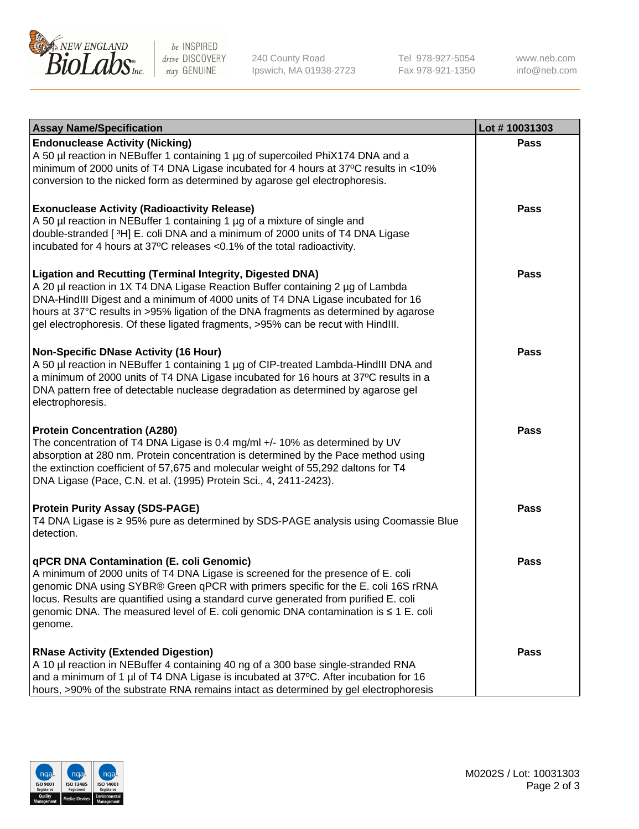

be INSPIRED drive DISCOVERY stay GENUINE

240 County Road Ipswich, MA 01938-2723 Tel 978-927-5054 Fax 978-921-1350

www.neb.com info@neb.com

| <b>Assay Name/Specification</b>                                                                                                                                                                                                                                                                                                                                                                                    | Lot #10031303 |
|--------------------------------------------------------------------------------------------------------------------------------------------------------------------------------------------------------------------------------------------------------------------------------------------------------------------------------------------------------------------------------------------------------------------|---------------|
| <b>Endonuclease Activity (Nicking)</b><br>A 50 µl reaction in NEBuffer 1 containing 1 µg of supercoiled PhiX174 DNA and a<br>minimum of 2000 units of T4 DNA Ligase incubated for 4 hours at 37°C results in <10%<br>conversion to the nicked form as determined by agarose gel electrophoresis.                                                                                                                   | <b>Pass</b>   |
| <b>Exonuclease Activity (Radioactivity Release)</b><br>A 50 µl reaction in NEBuffer 1 containing 1 µg of a mixture of single and<br>double-stranded [3H] E. coli DNA and a minimum of 2000 units of T4 DNA Ligase<br>incubated for 4 hours at 37°C releases <0.1% of the total radioactivity.                                                                                                                      | <b>Pass</b>   |
| <b>Ligation and Recutting (Terminal Integrity, Digested DNA)</b><br>A 20 µl reaction in 1X T4 DNA Ligase Reaction Buffer containing 2 µg of Lambda<br>DNA-HindIII Digest and a minimum of 4000 units of T4 DNA Ligase incubated for 16<br>hours at 37°C results in >95% ligation of the DNA fragments as determined by agarose<br>gel electrophoresis. Of these ligated fragments, >95% can be recut with HindIII. | <b>Pass</b>   |
| <b>Non-Specific DNase Activity (16 Hour)</b><br>A 50 µl reaction in NEBuffer 1 containing 1 µg of CIP-treated Lambda-HindIII DNA and<br>a minimum of 2000 units of T4 DNA Ligase incubated for 16 hours at 37°C results in a<br>DNA pattern free of detectable nuclease degradation as determined by agarose gel<br>electrophoresis.                                                                               | <b>Pass</b>   |
| <b>Protein Concentration (A280)</b><br>The concentration of T4 DNA Ligase is 0.4 mg/ml +/- 10% as determined by UV<br>absorption at 280 nm. Protein concentration is determined by the Pace method using<br>the extinction coefficient of 57,675 and molecular weight of 55,292 daltons for T4<br>DNA Ligase (Pace, C.N. et al. (1995) Protein Sci., 4, 2411-2423).                                                | <b>Pass</b>   |
| <b>Protein Purity Assay (SDS-PAGE)</b><br>T4 DNA Ligase is ≥ 95% pure as determined by SDS-PAGE analysis using Coomassie Blue<br>detection.                                                                                                                                                                                                                                                                        | <b>Pass</b>   |
| qPCR DNA Contamination (E. coli Genomic)<br>A minimum of 2000 units of T4 DNA Ligase is screened for the presence of E. coli<br>genomic DNA using SYBR® Green qPCR with primers specific for the E. coli 16S rRNA<br>locus. Results are quantified using a standard curve generated from purified E. coli<br>genomic DNA. The measured level of E. coli genomic DNA contamination is ≤ 1 E. coli<br>genome.        | Pass          |
| <b>RNase Activity (Extended Digestion)</b><br>A 10 µl reaction in NEBuffer 4 containing 40 ng of a 300 base single-stranded RNA<br>and a minimum of 1 µl of T4 DNA Ligase is incubated at 37°C. After incubation for 16<br>hours, >90% of the substrate RNA remains intact as determined by gel electrophoresis                                                                                                    | <b>Pass</b>   |